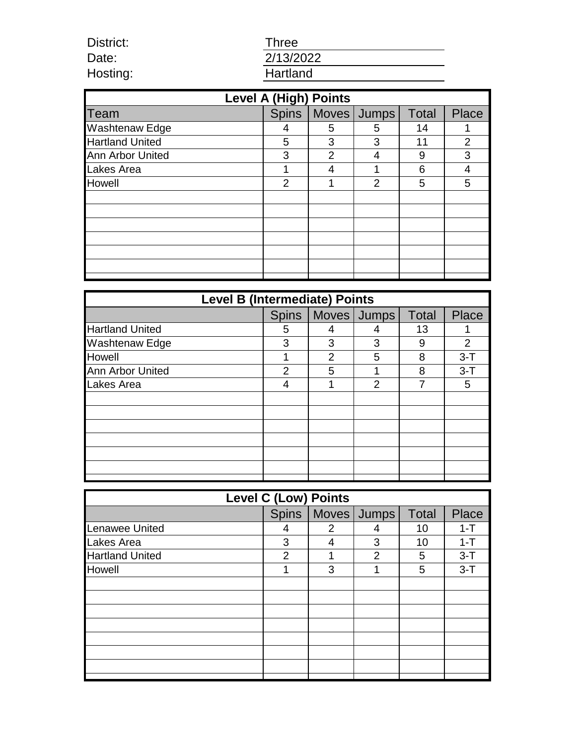| <b>Three</b> |  |  |
|--------------|--|--|
| 2/13/2022    |  |  |
| Hartland     |  |  |

District: Date: Hosting:

| <b>Level A (High) Points</b> |                |                |             |              |                |
|------------------------------|----------------|----------------|-------------|--------------|----------------|
| <b>Team</b>                  | <b>Spins</b>   |                | Moves Jumps | <b>Total</b> | <b>Place</b>   |
| <b>Washtenaw Edge</b>        | 4              | 5              | 5           | 14           |                |
| <b>Hartland United</b>       | 5              | 3              | 3           | 11           | $\overline{2}$ |
| <b>Ann Arbor United</b>      | 3              | $\overline{2}$ |             | 9            | 3              |
| Lakes Area                   |                |                |             | 6            | 4              |
| <b>Howell</b>                | $\overline{2}$ | И              | 2           | 5            | 5              |
|                              |                |                |             |              |                |
|                              |                |                |             |              |                |
|                              |                |                |             |              |                |
|                              |                |                |             |              |                |
|                              |                |                |             |              |                |
|                              |                |                |             |              |                |
|                              |                |                |             |              |                |

| <b>Level B (Intermediate) Points</b> |              |                |                |              |              |
|--------------------------------------|--------------|----------------|----------------|--------------|--------------|
|                                      | <b>Spins</b> |                | Moves   Jumps  | <b>Total</b> | <b>Place</b> |
| <b>Hartland United</b>               | 5            |                |                | 13           |              |
| <b>Washtenaw Edge</b>                | 3            | 3              | 3              | 9            | 2            |
| Howell                               |              | $\overline{2}$ | 5              | 8            | $3-T$        |
| <b>Ann Arbor United</b>              | 2            | 5              |                | 8            | $3-T$        |
| <b>Lakes Area</b>                    |              |                | $\overline{2}$ | 7            | 5            |
|                                      |              |                |                |              |              |
|                                      |              |                |                |              |              |
|                                      |              |                |                |              |              |
|                                      |              |                |                |              |              |
|                                      |              |                |                |              |              |
|                                      |              |                |                |              |              |
|                                      |              |                |                |              |              |

| <b>Level C (Low) Points</b> |   |                |                       |              |              |
|-----------------------------|---|----------------|-----------------------|--------------|--------------|
|                             |   |                | Spins   Moves   Jumps | <b>Total</b> | <b>Place</b> |
| <b>Lenawee United</b>       | 4 | $\overline{2}$ | 4                     | 10           | $1 - T$      |
| Lakes Area                  | 3 | 4              | 3                     | 10           | $1 - T$      |
| <b>Hartland United</b>      | 2 |                | 2                     | 5            | $3-T$        |
| <b>Howell</b>               |   | 3              |                       | 5            | $3 - T$      |
|                             |   |                |                       |              |              |
|                             |   |                |                       |              |              |
|                             |   |                |                       |              |              |
|                             |   |                |                       |              |              |
|                             |   |                |                       |              |              |
|                             |   |                |                       |              |              |
|                             |   |                |                       |              |              |
|                             |   |                |                       |              |              |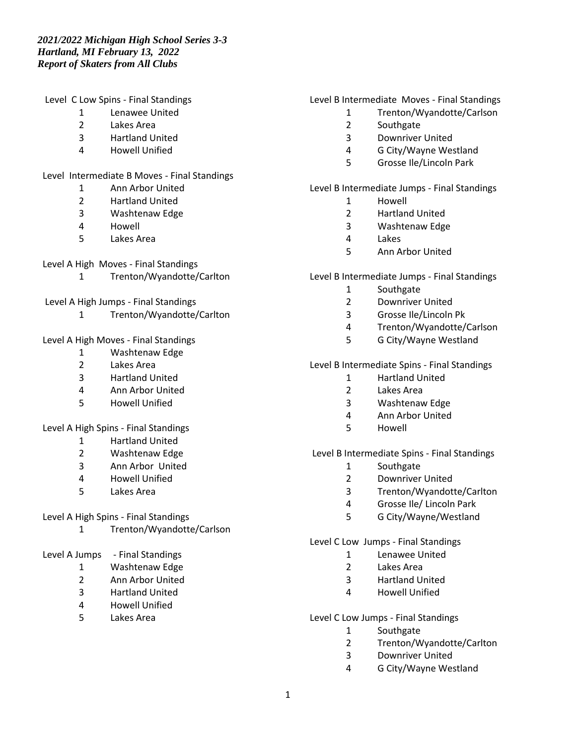Level C Low Spins - Final Standings

- Lenawee United
- Lakes Area
- Hartland United
- Howell Unified

Level Intermediate B Moves - Final Standings

- Ann Arbor United
- Hartland United
- Washtenaw Edge
- Howell
- Lakes Area

## Level A High Moves - Final Standings

- Trenton/Wyandotte/Carlton
- Level A High Jumps Final Standings
	- Trenton/Wyandotte/Carlton

## Level A High Moves - Final Standings

- Washtenaw Edge
- Lakes Area
- Hartland United
- Ann Arbor United
- Howell Unified

## Level A High Spins - Final Standings

- Hartland United
- Washtenaw Edge
- Ann Arbor United
- Howell Unified
- Lakes Area

## Level A High Spins - Final Standings

- Trenton/Wyandotte/Carlson
- Level A Jumps Final Standings
	- Washtenaw Edge
	- Ann Arbor United
	- Hartland United
	- Howell Unified
	- Lakes Area

### Level B Intermediate Moves - Final Standings

- Trenton/Wyandotte/Carlson
- Southgate
- Downriver United
- G City/Wayne Westland
- Grosse Ile/Lincoln Park

## Level B Intermediate Jumps - Final Standings

- 1 Howell<br>2 Hartlan
- Hartland United
- Washtenaw Edge
- Lakes
- Ann Arbor United

### Level B Intermediate Jumps - Final Standings

- Southgate
- Downriver United
- Grosse Ile/Lincoln Pk
- Trenton/Wyandotte/Carlson
- G City/Wayne Westland

### Level B Intermediate Spins - Final Standings

- Hartland United
- Lakes Area
- Washtenaw Edge
- Ann Arbor United
- Howell

#### Level B Intermediate Spins - Final Standings

- Southgate
- Downriver United
- Trenton/Wyandotte/Carlton
- Grosse Ile/ Lincoln Park
- G City/Wayne/Westland

#### Level C Low Jumps - Final Standings

- Lenawee United
- Lakes Area
- Hartland United
- Howell Unified

## Level C Low Jumps - Final Standings

- Southgate
- Trenton/Wyandotte/Carlton
- Downriver United
- G City/Wayne Westland